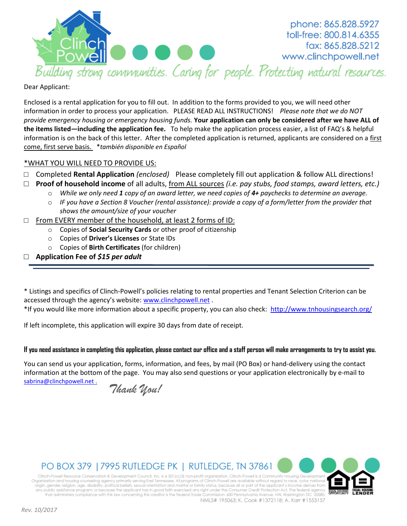

phone: 865.828.5927 toll-free: 800.814.6355 fax: 865.828.5212 www.clinchpowell.net

#### Dear Applicant:

Enclosed is a rental application for you to fill out. In addition to the forms provided to you, we will need other information in order to process your application. PLEASE READ ALL INSTRUCTIONS! *Please note that we do NOT provide emergency housing or emergency housing funds.* **Your application can only be considered after we have ALL of the items listed—including the application fee.** To help make the application process easier, a list of FAQ's & helpful information is on the back of this letter. After the completed application is returned, applicants are considered on a first come, first serve basis. \**también disponible en Español*

### \*WHAT YOU WILL NEED TO PROVIDE US:

- □ Completed **Rental Application** *(enclosed)* Please completely fill out application & follow ALL directions!
- □ **Proof of household income** of all adults, from ALL sources *(i.e. pay stubs, food stamps, award letters, etc.)* 
	- o *While we only need 1 copy of an award letter, we need copies of 4+ paychecks to determine an average.*
	- o *IF you have a Section 8 Voucher (rental assistance): provide a copy of a form/letter from the provider that shows the amount/size of your voucher*
- □ From EVERY member of the household, at least 2 forms of ID:
	- o Copies of **Social Security Cards** or other proof of citizenship
	- o Copies of **Driver's Licenses** or State IDs
	- o Copies of **Birth Certificates** (for children)
- □ **Application Fee of** *\$15 per adult*

\* Listings and specifics of Clinch-Powell's policies relating to rental properties and Tenant Selection Criterion can be accessed through the agency's website: [www.clinchpowell.net](http://www.clinchpowell.net/) .

\*If you would like more information about a specific property, you can also check: <http://www.tnhousingsearch.org/>

If left incomplete, this application will expire 30 days from date of receipt.

#### **If you need assistance in completing this application, please contact our office and a staff person will make arrangements to try to assist you.**

You can send us your application, forms, information, and fees, by mail (PO Box) or hand-delivery using the contact information at the bottom of the page. You may also send questions or your application electronically by e-mail to [sabrina@clinchpowell.net](mailto:sabrina@clinchpowell.net) .

*Thank You!*

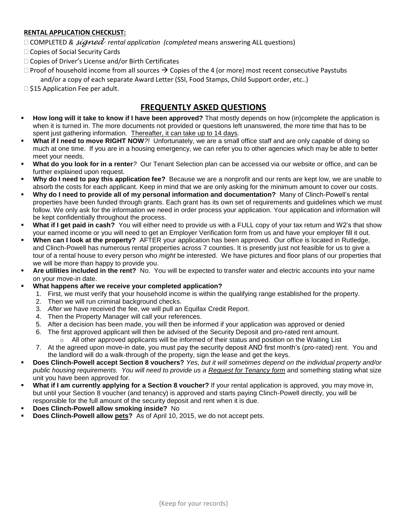### **RENTAL APPLICATION CHECKLIST:**

□ COMPLETED & *signed rental application (completed means answering ALL questions)* 

- □ Copies of Social Security Cards
- $\Box$  Copies of Driver's License and/or Birth Certificates
- $\Box$  Proof of household income from all sources  $\rightarrow$  Copies of the 4 (or more) most recent consecutive Paystubs and/or a copy of each separate Award Letter (SSI, Food Stamps, Child Support order, etc..)

 $\Box$  \$15 Application Fee per adult.

# **FREQUENTLY ASKED QUESTIONS**

- **How long will it take to know if I have been approved?** That mostly depends on how (in)complete the application is when it is turned in. The more documents not provided or questions left unanswered, the more time that has to be spent just gathering information. Thereafter, it can take up to 14 days*.*
- **What if I need to move RIGHT NOW***?!* Unfortunately, we are a small office staff and are only capable of doing so much at one time. If you are in a housing emergency, we can refer you to other agencies which may be able to better meet your needs.
- **What do you look for in a renter***?* Our Tenant Selection plan can be accessed via our website or office, and can be further explained upon request.
- **Why do I need to pay this application fee?** Because we are a nonprofit and our rents are kept low, we are unable to absorb the costs for each applicant. Keep in mind that we are only asking for the minimum amount to cover our costs.
- **Why do I need to provide all of my personal information and documentation?** Many of Clinch-Powell's rental properties have been funded through grants. Each grant has its own set of requirements and guidelines which we must follow. We only ask for the information we need in order process your application. Your application and information will be kept confidentially throughout the process.
- **What if I get paid in cash?** You will either need to provide us with a FULL copy of your tax return and W2's that show your earned income or you will need to get an Employer Verification form from us and have your employer fill it out.
- **When can I look at the property?** AFTER your application has been approved. Our office is located in Rutledge, and Clinch-Powell has numerous rental properties across 7 counties. It is presently just not feasible for us to give a tour of a rental house to every person who *might* be interested. We have pictures and floor plans of our properties that we will be more than happy to provide you.
- **Are utilities included in the rent?** No. You will be expected to transfer water and electric accounts into your name on your move-in date.
- **What happens after we receive your completed application?**
	- 1. First, we must verify that your household income is within the qualifying range established for the property.
	- 2. Then we will run criminal background checks.
	- 3. *After* we have received the fee, we will pull an Equifax Credit Report.
	- 4. Then the Property Manager will call your references.
	- 5. After a decision has been made, you will then be informed if your application was approved or denied
	- 6. The first approved applicant will then be advised of the Security Deposit and pro-rated rent amount.  $\circ$  All other approved applicants will be informed of their status and position on the Waiting List
	- 7. At the agreed upon move-in date, you must pay the security deposit AND first month's (pro-rated) rent. You and the landlord will do a walk-through of the property, sign the lease and get the keys.
- **Does Clinch-Powell accept Section 8 vouchers?** *Yes, but it will sometimes depend on the individual property and/or public housing requirements. You will need to provide us a Request for Tenancy form* and something stating what size unit you have been approved for.
- **What if I am currently applying for a Section 8 voucher?** If your rental application is approved, you may move in, but until your Section 8 voucher (and tenancy) is approved and starts paying Clinch-Powell directly, you will be responsible for the full amount of the security deposit and rent when it is due.
- **Does Clinch-Powell allow smoking inside?** No
- **Does Clinch-Powell allow pets?**As of April 10, 2015, we do not accept pets.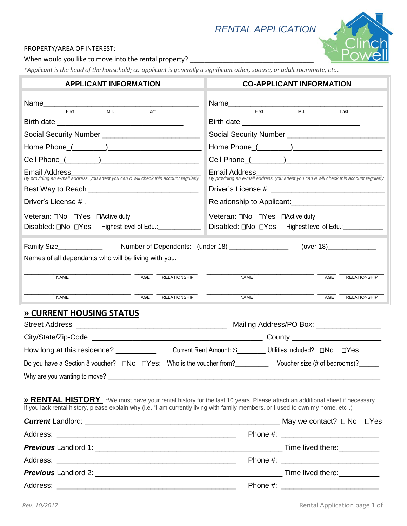# *RENTAL APPLICATION*

## PROPERTY/AREA OF INTEREST: \_\_\_\_\_\_\_\_\_\_\_\_\_\_\_\_\_\_\_\_\_\_\_\_\_\_\_\_\_\_\_\_\_\_\_\_\_\_\_\_\_\_\_\_\_\_\_\_\_\_\_

When would you like to move into the rental property? \_\_\_\_\_\_\_\_\_\_\_\_\_\_\_\_\_\_\_\_\_\_\_\_\_\_

*\*Applicant is the head of the household; co-applicant is generally a significant other, spouse, or adult roommate, etc..* 

| <b>APPLICANT INFORMATION</b>                                                                                                                                                                                                                                 | <b>CO-APPLICANT INFORMATION</b>                                                                         |  |  |  |
|--------------------------------------------------------------------------------------------------------------------------------------------------------------------------------------------------------------------------------------------------------------|---------------------------------------------------------------------------------------------------------|--|--|--|
| M.I.<br>First<br>Last                                                                                                                                                                                                                                        | Name<br>M.I.<br>First<br>Last                                                                           |  |  |  |
|                                                                                                                                                                                                                                                              |                                                                                                         |  |  |  |
|                                                                                                                                                                                                                                                              |                                                                                                         |  |  |  |
|                                                                                                                                                                                                                                                              |                                                                                                         |  |  |  |
|                                                                                                                                                                                                                                                              |                                                                                                         |  |  |  |
| <b>Email Address</b><br>By providing an e-mail address, you attest you can & will check this account regularly                                                                                                                                               | Email Address<br>By providing an e-mail address, you attest you can & will check this account regularly |  |  |  |
|                                                                                                                                                                                                                                                              |                                                                                                         |  |  |  |
|                                                                                                                                                                                                                                                              | Relationship to Applicant:                                                                              |  |  |  |
| Veteran: ONo OYes OActive duty<br>Disabled: □No □Yes Highest level of Edu.: ____________                                                                                                                                                                     | Veteran: ONo OYes DActive duty<br>Disabled: □No □Yes Highest level of Edu.: ___________                 |  |  |  |
|                                                                                                                                                                                                                                                              |                                                                                                         |  |  |  |
| Names of all dependants who will be living with you:                                                                                                                                                                                                         |                                                                                                         |  |  |  |
|                                                                                                                                                                                                                                                              |                                                                                                         |  |  |  |
| AGE<br><b>RELATIONSHIP</b><br><b>NAME</b>                                                                                                                                                                                                                    | AGE<br><b>NAME</b><br><b>RELATIONSHIP</b>                                                               |  |  |  |
| AGE<br><b>RELATIONSHIP</b><br><b>NAME</b>                                                                                                                                                                                                                    | AGE<br><b>NAME</b><br><b>RELATIONSHIP</b>                                                               |  |  |  |
| » CURRENT HOUSING STATUS                                                                                                                                                                                                                                     |                                                                                                         |  |  |  |
|                                                                                                                                                                                                                                                              |                                                                                                         |  |  |  |
|                                                                                                                                                                                                                                                              |                                                                                                         |  |  |  |
|                                                                                                                                                                                                                                                              |                                                                                                         |  |  |  |
| Do you have a Section 8 voucher? □No □Yes: Who is the voucher from? Voucher size (# of bedrooms)?                                                                                                                                                            |                                                                                                         |  |  |  |
|                                                                                                                                                                                                                                                              |                                                                                                         |  |  |  |
| » RENTAL HISTORY *We must have your rental history for the last 10 years. Please attach an additional sheet if necessary.<br>If you lack rental history, please explain why (i.e. "I am currently living with family members, or I used to own my home, etc) |                                                                                                         |  |  |  |
|                                                                                                                                                                                                                                                              |                                                                                                         |  |  |  |
|                                                                                                                                                                                                                                                              |                                                                                                         |  |  |  |
|                                                                                                                                                                                                                                                              |                                                                                                         |  |  |  |
|                                                                                                                                                                                                                                                              |                                                                                                         |  |  |  |
|                                                                                                                                                                                                                                                              |                                                                                                         |  |  |  |
| Address:                                                                                                                                                                                                                                                     |                                                                                                         |  |  |  |

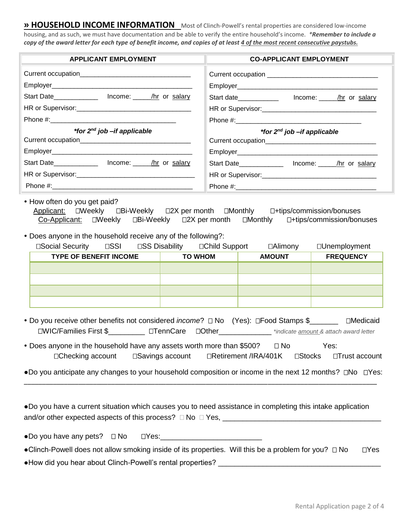**» HOUSEHOLD INCOME INFORMATION** Most of Clinch-Powell's rental properties are considered low-income housing, and as such, we must have documentation and be able to verify the entire household's income. *\*Remember to include a copy of the award letter for each type of benefit income, and copies of at least 4 of the most recent consecutive paystubs.* 

| <b>APPLICANT EMPLOYMENT</b>                              | <b>CO-APPLICANT EMPLOYMENT</b>                                                                                                                                                                       |
|----------------------------------------------------------|------------------------------------------------------------------------------------------------------------------------------------------------------------------------------------------------------|
|                                                          |                                                                                                                                                                                                      |
|                                                          |                                                                                                                                                                                                      |
| Start Date_________________ Income: ______/hr_ or salary | Start date_______________ lncome: _____/hr or salary                                                                                                                                                 |
|                                                          |                                                                                                                                                                                                      |
|                                                          |                                                                                                                                                                                                      |
| *for 2 <sup>nd</sup> job-if applicable                   | *for 2 <sup>nd</sup> job-if applicable                                                                                                                                                               |
|                                                          |                                                                                                                                                                                                      |
|                                                          |                                                                                                                                                                                                      |
| Start Date_________________ Income: ______/hr_or_salary  | Start Date <b>Start Date Start Date Start Date Start Date Start Date Start Date Start Date Start Date Start Date Start Date Start Date Start Date Start Date Start Date Start Date Start Date St</b> |
|                                                          |                                                                                                                                                                                                      |
|                                                          |                                                                                                                                                                                                      |

• How often do you get paid?

Applicant:  $\square$ Weekly  $\square$ Bi-Weekly  $\square$ 2X per month  $\square$ Monthly  $\square$ +tips/commission/bonuses Co-Applicant: OWeekly OBi-Weekly O2X per month OMonthly O+tips/commission/bonuses

Does anyone in the household receive any of the following?:

| □Social Security              | $\square$ | □SS Disability |  | □Child Support | $\Box$ Alimony   | $\square$ Unemployment |
|-------------------------------|-----------|----------------|--|----------------|------------------|------------------------|
| <b>TYPE OF BENEFIT INCOME</b> |           | TO WHOM        |  | <b>AMOUNT</b>  | <b>FREQUENCY</b> |                        |
|                               |           |                |  |                |                  |                        |
|                               |           |                |  |                |                  |                        |
|                               |           |                |  |                |                  |                        |
|                               |           |                |  |                |                  |                        |

- Do you receive other benefits not considered *income*?  $\Box$  No (Yes):  $\Box$  Food Stamps \$\_\_\_\_\_\_\_ Medicaid WIC/Families First \$\_\_\_\_\_\_\_\_\_ TennCareOther\_\_\_\_\_\_\_\_\_\_\_\_\_ *\*indicate amount & attach award letter*
- Does anyone in the household have any assets worth more than \$500?  $\Box$  No Yes: □Checking account Collarings account CRetirement /IRA/401K Collaring account Collaring account

•Do you anticipate any changes to your household composition or income in the next 12 months?  $\Box$ No  $\Box$ Yes: \_\_\_\_\_\_\_\_\_\_\_\_\_\_\_\_\_\_\_\_\_\_\_\_\_\_\_\_\_\_\_\_\_\_\_\_\_\_\_\_\_\_\_\_\_\_\_\_\_\_\_\_\_\_\_\_\_\_\_\_\_\_\_\_\_\_\_\_\_\_\_\_\_\_\_\_\_\_\_\_\_\_\_\_\_\_\_\_\_\_\_\_\_\_\_\_\_

●Do you have a current situation which causes you to need assistance in completing this intake application and/or other expected aspects of this process? No Yes, \_\_\_\_\_\_\_\_\_\_\_\_\_\_\_\_\_\_\_\_\_\_\_\_\_\_\_\_\_\_\_\_\_\_\_\_\_\_\_

 $\bullet$ Do you have any pets?  $\Box$  No  $\Box$  Yes:

| • Clinch-Powell does not allow smoking inside of its properties. Will this be a problem for you? $\Box$ No | $\Box$ Yes |
|------------------------------------------------------------------------------------------------------------|------------|
| • How did you hear about Clinch-Powell's rental properties?                                                |            |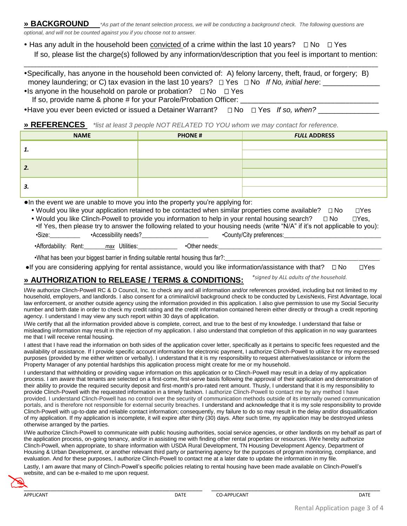**» BACKGROUND** *\*As part of the tenant selection process, we will be conducting a background check. The following questions are optional, and will not be counted against you if you choose not to answer.* 

• Has any adult in the household been convicted of a crime within the last 10 years?  $\Box$  No  $\Box$  Yes If so, please list the charge(s) followed by any information/description that you feel is important to mention:

\_\_\_\_\_\_\_\_\_\_\_\_\_\_\_\_\_\_\_\_\_\_\_\_\_\_\_\_\_\_\_\_\_\_\_\_\_\_\_\_\_\_\_\_\_\_\_\_\_\_\_\_\_\_\_\_\_\_\_\_\_\_\_\_\_\_\_\_\_\_\_\_\_\_\_\_\_\_\_\_\_\_\_\_\_\_\_\_\_\_\_\_\_\_\_\_\_\_\_\_\_\_\_\_\_\_\_

Specifically, has anyone in the household been convicted of: A) felony larceny, theft, fraud, or forgery; B) money laundering; or C) tax evasion in the last 10 years?  $\Box$  Yes  $\Box$  No *If No, initial here:* • Is anyone in the household on parole or probation?  $\Box$  No  $\Box$  Yes

If so, provide name & phone # for your Parole/Probation Officer:

•Have you ever been evicted or issued a Detainer Warrant?  $\square$  No  $\square$  Yes *If so, when?* 

**» REFERENCES** *\*list at least 3 people NOT RELATED TO YOU whom we may contact for reference.*

| <b>NAME</b> | <b>PHONE#</b> | <b>FULL ADDRESS</b> |
|-------------|---------------|---------------------|
| 1.          |               |                     |
|             |               |                     |
| 2.          |               |                     |
|             |               |                     |
| 3.          |               |                     |
|             |               |                     |

●In the event we are unable to move you into the property you're applying for:

• Would you like your application retained to be contacted when similar properties come available?  $\Box$  No  $\Box$  Yes

|        |                       | . Would you like Clinch-Powell to provide you information to help in your rental housing search?<br>$\Box$ No               | $\sqcap$ Yes. |
|--------|-----------------------|-----------------------------------------------------------------------------------------------------------------------------|---------------|
|        |                       | •If Yes, then please try to answer the following related to your housing needs (write "N/A" if it's not applicable to you): |               |
| •Size: | •Accessibility needs? | •County/City preferences:                                                                                                   |               |

•Affordability: Rent: max Utilities: • Other needs:

•What has been your biggest barrier in finding suitable rental housing thus far?:

 $\bullet$  If you are considering applying for rental assistance, would you like information/assistance with that?  $\Box$  No  $\Box$  Yes

#### **» AUTHORIZATION to RELEASE / TERMS & CONDITIONS:**  *\*signed by ALL adults of the household.*

I/We authorize Clinch-Powell RC & D Council, Inc. to check any and all information and/or references provided, including but not limited to my household, employers, and landlords. I also consent for a criminal/civil background check to be conducted by LexisNexis, First Advantage, local law enforcement, or another outside agency using the information provided in this application. I also give permission to use my Social Security number and birth date in order to check my credit rating and the credit information contained herein either directly or through a credit reporting agency. I understand I may view any such report within 30 days of application.

I/We certify that all the information provided above is complete, correct, and true to the best of my knowledge. I understand that false or misleading information may result in the rejection of my application. I also understand that completion of this application in no way guarantees me that I will receive rental housing.

I attest that I have read the information on both sides of the application cover letter, specifically as it pertains to specific fees requested and the availability of assistance. If I provide specific account information for electronic payment, I authorize Clinch-Powell to utilize it for my expressed purposes (provided by me either written or verbally). I understand that it is my responsibility to request alternatives/assistance or inform the Property Manager of any potential hardships this application process might create for me or my household.

I understand that withholding or providing vague information on this application or to Clinch-Powell may result in a delay of my application process. I am aware that tenants are selected on a first-come, first-serve basis following the approval of their application and demonstration of their ability to provide the required security deposit and first-month's pro-rated rent amount. Thusly, I understand that it is my responsibility to provide Clinch-Powell with the requested information in a timely fashion. I authorize Clinch-Powell to contact me by any method I have provided. I understand Clinch-Powell has no control over the security of communication methods outside of its internally owned communication portals, and is therefore not responsible for external security breaches. I understand and acknowledge that it is my sole responsibility to provide Clinch-Powell with up-to-date and reliable contact information; consequently, my failure to do so may result in the delay and/or disqualification of my application. If my application is incomplete, it will expire after thirty (30) days. After such time, my application may be destroyed unless otherwise arranged by the parties.

I/We authorize Clinch-Powell to communicate with public housing authorities, social service agencies, or other landlords on my behalf as part of the application process, on-going tenancy, and/or in assisting me with finding other rental properties or resources. I/We hereby authorize Clinch-Powell, when appropriate, to share information with USDA Rural Development, TN Housing Development Agency, Department of Housing & Urban Development, or another relevant third party or partnering agency for the purposes of program monitoring, compliance, and evaluation. And for these purposes, I authorize Clinch-Powell to contact me at a later date to update the information in my file.

Lastly, I am aware that many of Clinch-Powell's specific policies relating to rental housing have been made available on Clinch-Powell's website, and can be e-mailed to me upon request. website, and can be e-mailed to me upon request.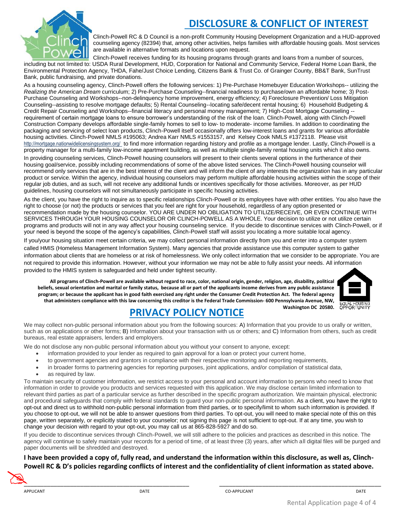

# **DISCLOSURE & CONFLICT OF INTEREST**

Clinch-Powell RC & D Council is a non-profit Community Housing Development Organization and a HUD-approved counseling agency (82394) that, among other activities, helps families with affordable housing goals. Most services are available in alternative formats and locations upon request.

Clinch-Powell receives funding for its housing programs through grants and loans from a number of sources, including but not limited to: USDA Rural Development, HUD, Corporation for National and Community Service, Federal Home Loan Bank, the Environmental Protection Agency, THDA, Fahe/Just Choice Lending, Citizens Bank & Trust Co. of Grainger County, BB&T Bank, SunTrust Bank, public fundraising, and private donations.

As a housing counseling agency, Clinch-Powell offers the following services: 1) Pre-Purchase Homebuyer Education Workshops-- utilizing the *Realizing the American Dream* curriculum; 2) Pre-Purchase Counseling--financial readiness to purchase/own an affordable home; 3) Post-Purchase Counseling and Workshops--non-delinquency home improvement, energy efficiency; 4) Foreclosure Prevention/ Loss Mitigation Counseling--assisting to resolve mortgage defaults; 5) Rental Counseling--locating safe/decent rental housing; 6) Household Budgeting & Credit Repair Counseling and Workshops--financial literacy and personal money management; 7) High-Cost Mortgage Counseling - requirement of certain mortgage loans to ensure borrower's understanding of the risk of the loan. Clinch-Powell, along with Clinch-Powell Construction Company develops affordable single-family homes to sell to low- to moderate- income families. In addition to coordinating the packaging and servicing of select loan products, Clinch-Powell itself occasionally offers low-interest loans and grants for various affordable housing activities. Clinch-Powell NMLS #195063; Andrea Karr NMLS #1553157, and Kelsey Cook NMLS #1372118. Please visit http://mortgage.nationwidelicensingsystem.org/ to find more information regarding history and profile as a mortgage lender. Lastly, Clinch-Powell is a property manager for a multi-family low-income apartment building, as well as multiple single-family rental housing units which it also owns. In providing counseling services, Clinch-Powell housing counselors will present to their clients several options in the furtherance of their housing goal/service, possibly including recommendations of some of the above listed services. The Clinch-Powell housing counselor will recommend only services that are in the best interest of the client and will inform the client of any interests the organization has in any particular product or service. Within the agency, individual housing counselors may perform multiple affordable housing activities within the scope of their regular job duties, and as such, will not receive any additional funds or incentives specifically for those activities. Moreover, as per HUD guidelines, housing counselors will not simultaneously participate in specific housing activities.

As the client, you have the right to inquire as to specific relationships Clinch-Powell or its employees have with other entities. You also have the right to choose (or not) the products or services that you feel are right for your household, regardless of any option presented or recommendation made by the housing counselor. YOU ARE UNDER NO OBLIGATION TO UTILIZE/RECEIVE, OR EVEN CONTINUE WITH SERVICES THROUGH YOUR HOUSING COUNSELOR OR CLINCH-POWELL AS A WHOLE. Your decision to utilize or not utilize certain programs and products will not in any way affect your housing counseling service. If you decide to discontinue services with Clinch-Powell, or if your need is beyond the scope of the agency's capabilities, Clinch-Powell staff will assist you locating a more suitable local agency.

If you/your housing situation meet certain criteria, we may collect personal information directly from you and enter into a computer system called HMIS (Homeless Management Information System). Many agencies that provide assistance use this computer system to gather information about clients that are homeless or at risk of homelessness. We only collect information that we consider to be appropriate. You are not required to provide this information. However, without your information we may not be able to fully assist your needs. All information provided to the HMIS system is safeguarded and held under tightest security.

**All programs of Clinch-Powell are available without regard to race, color, national origin, gender, religion, age, disability, political beliefs, sexual orientation and marital or family status, because all or part of the applicants income derives from any public assistance program; or because the applicant has in good faith exercised any right under the Consumer Credit Protection Act. The federal agency that administers compliance with this law concerning this creditor is the Federal Trade Commission- 600 Pennsylvania Avenue, NW,** 



# **PRIVACY POLICY NOTICE**

We may collect non-public personal information about you from the following sources: A) Information that you provide to us orally or written, such as on applications or other forms; B) Information about your transaction with us or others; and C) Information from others, such as credit bureaus, real estate appraisers, lenders and employers.

We do not disclose any non-public personal information about you without your consent to anyone, except:

- information provided to your lender as required to gain approval for a loan or protect your current home,
- to government agencies and grantors in compliance with their respective monitoring and reporting requirements,
- in broader forms to partnering agencies for reporting purposes, joint applications, and/or compilation of statistical data,
- as required by law.

To maintain security of customer information, we restrict access to your personal and account information to persons who need to know that information in order to provide you products and services requested with this application. We may disclose certain limited information to relevant third parties as part of a particular service as further described in the specific program authorization. We maintain physical, electronic and procedural safeguards that comply with federal standards to guard your non-public personal information. As a client, you have the right to opt-out and direct us to withhold non-public personal information from third parties, or to specify/limit to whom such information is provided. If you choose to opt-out, we will not be able to answer questions from third parties. To opt-out, you will need to make special note of this on this page, written separately, or explicitly stated to your counselor; not signing this page is not sufficient to opt-out. If at any time, you wish to change your decision with regard to your opt-out, you may call us at 865-828-5927 and do so.

If you decide to discontinue services through Clinch-Powell, we will still adhere to the policies and practices as described in this notice. The agency will continue to safely maintain your records for a period of time, of at least three (3) years, after which all digital files will be purged and paper documents will be shredded and destroyed.

### **I have been provided a copy of, fully read, and understand the information within this disclosure, as well as, Clinch-Powell RC & D's policies regarding conflicts of interest and the confidentiality of client information as stated above.**